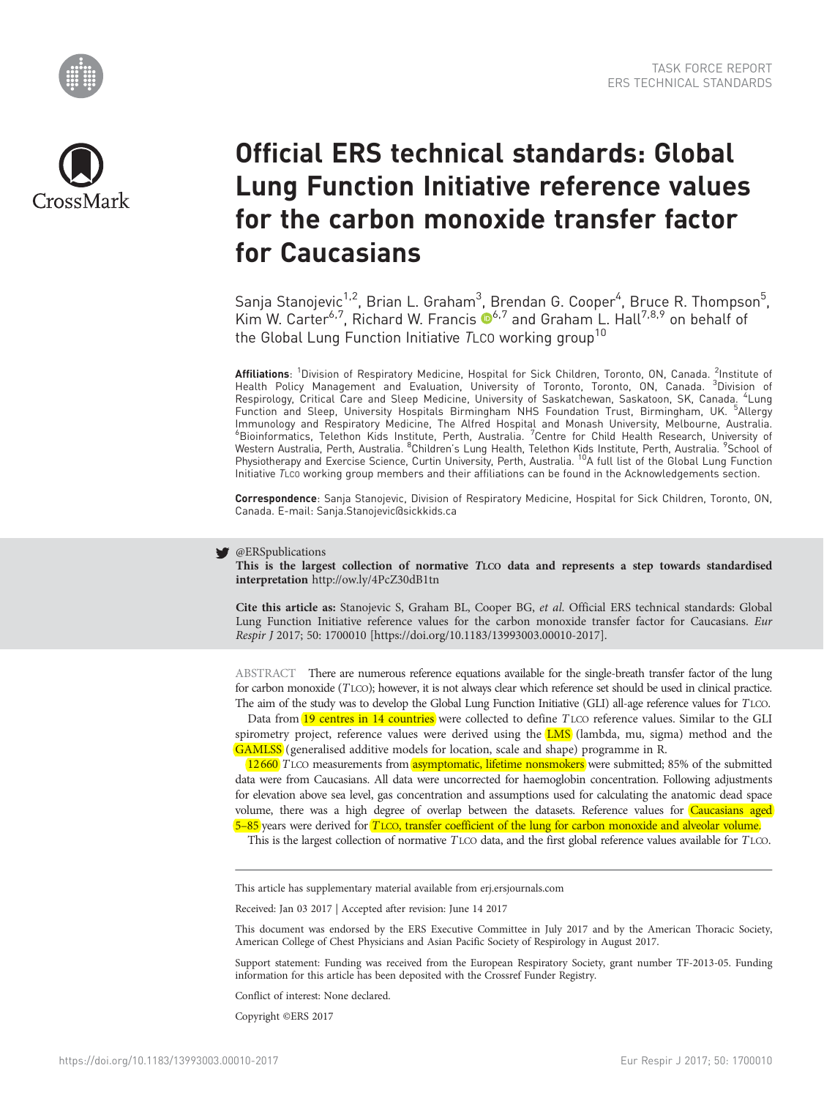



# Official ERS technical standards: Global Lung Function Initiative reference values for the carbon monoxide transfer factor for Caucasians

Sanja Stanojevic<sup>1,2</sup>, Brian L. Graham<sup>3</sup>, Brendan G. Cooper<sup>4</sup>, Bruce R. Thompson<sup>5</sup>, Kim W. Carter<sup>6,7</sup>, Richard W. Francis  $\mathbb{D}^{6,7}$  and Graham L. Hall<sup>7,8,9</sup> on behalf of the Global Lung Function Initiative TLCO working group<sup>10</sup>

**Affiliations**: <sup>1</sup>Division of Respiratory Medicine, Hospital for Sick Children, Toronto, ON, Canada. <sup>2</sup>Institute of<br>Health Policy Management and Evaluation, University of Toronto, Toronto, ON, Canada. <sup>3</sup>Divis Respirology, Critical Care and Sleep Medicine, University of Saskatchewan, Saskatoon, SK, Canada. <sup>4</sup>Lung Function and Sleep, University Hospitals Birmingham NHS Foundation Trust, Birmingham, UK. <sup>5</sup>Allergy Immunology and Respiratory Medicine, The Alfred Hospital and Monash University, Melbourne, Australia. <sup>6</sup>Bioinformatics, Telethon Kids Institute, Perth, Australia. <sup>7</sup>Centre for Child Health Research, University of Western Australia, Perth, Australia. <sup>8</sup>Children's Lung Health, Telethon Kids Institute, Perth, Australia. <sup>9</sup>School of<br>Physiotherapy and Exercise Science, Curtin University, Perth, Australia. <sup>10</sup>A full list of the Global Initiative TLCO working group members and their affiliations can be found in the Acknowledgements section.

Correspondence: Sanja Stanojevic, Division of Respiratory Medicine, Hospital for Sick Children, Toronto, ON, Canada. E-mail: [Sanja.Stanojevic@sickkids.ca](mailto:Sanja.Stanojevic@sickkids.ca)

## @ERSpublications

This is the largest collection of normative TLCO data and represents a step towards standardised interpretation <http://ow.ly/4PcZ30dB1tn>

Cite this article as: Stanojevic S, Graham BL, Cooper BG, et al. Official ERS technical standards: Global Lung Function Initiative reference values for the carbon monoxide transfer factor for Caucasians. Eur Respir J 2017; 50: 1700010 [\[https://doi.org/10.1183/13993003.00010-2017\].](https://doi.org/10.1183/13993003.00010-2017)

ABSTRACT There are numerous reference equations available for the single-breath transfer factor of the lung for carbon monoxide (TLCO); however, it is not always clear which reference set should be used in clinical practice. The aim of the study was to develop the Global Lung Function Initiative (GLI) all-age reference values for TLCO.

Data from 19 centres in 14 countries were collected to define TLCO reference values. Similar to the GLI spirometry project, reference values were derived using the  $LMS$  (lambda, mu, sigma) method and the GAMLSS (generalised additive models for location, scale and shape) programme in R.

12660 TLCO measurements from asymptomatic, lifetime nonsmokers were submitted; 85% of the submitted data were from Caucasians. All data were uncorrected for haemoglobin concentration. Following adjustments for elevation above sea level, gas concentration and assumptions used for calculating the anatomic dead space volume, there was a high degree of overlap between the datasets. Reference values for Caucasians aged 5–85 years were derived for TLCO, transfer coefficient of the lung for carbon monoxide and alveolar volume.

This is the largest collection of normative TLCO data, and the first global reference values available for TLCO.

This article has supplementary material available from<erj.ersjournals.com>

Received: Jan 03 2017 | Accepted after revision: June 14 2017

This document was endorsed by the ERS Executive Committee in July 2017 and by the American Thoracic Society, American College of Chest Physicians and Asian Pacific Society of Respirology in August 2017.

Support statement: Funding was received from the European Respiratory Society, grant number TF-2013-05. Funding information for this article has been deposited with the [Crossref Funder Registry.](https://www.crossref.org/services/funder-registry/)

Conflict of interest: None declared.

Copyright ©ERS 2017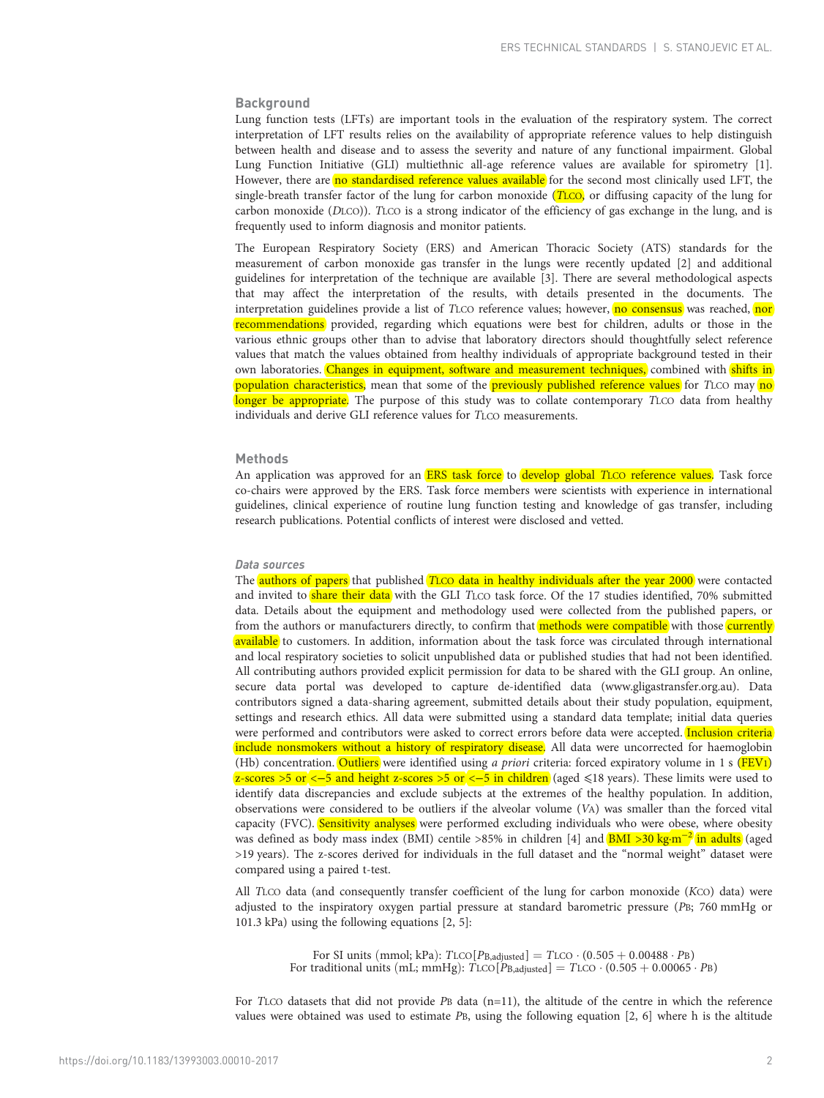## **Background**

Lung function tests (LFTs) are important tools in the evaluation of the respiratory system. The correct interpretation of LFT results relies on the availability of appropriate reference values to help distinguish between health and disease and to assess the severity and nature of any functional impairment. Global Lung Function Initiative (GLI) multiethnic all-age reference values are available for spirometry [\[1](#page-11-0)]. However, there are no standardised reference values available for the second most clinically used LFT, the single-breath transfer factor of the lung for carbon monoxide (TLCO, or diffusing capacity of the lung for carbon monoxide (DLCO)). TLCO is a strong indicator of the efficiency of gas exchange in the lung, and is frequently used to inform diagnosis and monitor patients.

The European Respiratory Society (ERS) and American Thoracic Society (ATS) standards for the measurement of carbon monoxide gas transfer in the lungs were recently updated [\[2\]](#page-11-0) and additional guidelines for interpretation of the technique are available [[3](#page-11-0)]. There are several methodological aspects that may affect the interpretation of the results, with details presented in the documents. The interpretation guidelines provide a list of TLCO reference values; however, no consensus was reached, nor recommendations provided, regarding which equations were best for children, adults or those in the various ethnic groups other than to advise that laboratory directors should thoughtfully select reference values that match the values obtained from healthy individuals of appropriate background tested in their own laboratories. Changes in equipment, software and measurement techniques, combined with shifts in population characteristics, mean that some of the previously published reference values for TLCO may no longer be appropriate. The purpose of this study was to collate contemporary TLCO data from healthy individuals and derive GLI reference values for TLCO measurements.

# **Methods**

An application was approved for an **ERS task force** to develop global TLCO reference values. Task force co-chairs were approved by the ERS. Task force members were scientists with experience in international guidelines, clinical experience of routine lung function testing and knowledge of gas transfer, including research publications. Potential conflicts of interest were disclosed and vetted.

## Data sources

The **authors of papers** that published **TLCO data in healthy individuals after the year 2000** were contacted and invited to share their data with the GLI TLCO task force. Of the 17 studies identified, 70% submitted data. Details about the equipment and methodology used were collected from the published papers, or from the authors or manufacturers directly, to confirm that methods were compatible with those currently available to customers. In addition, information about the task force was circulated through international and local respiratory societies to solicit unpublished data or published studies that had not been identified. All contributing authors provided explicit permission for data to be shared with the GLI group. An online, secure data portal was developed to capture de-identified data ([www.gligastransfer.org.au\)](http://www.gligastransfer.org.au/). Data contributors signed a data-sharing agreement, submitted details about their study population, equipment, settings and research ethics. All data were submitted using a standard data template; initial data queries were performed and contributors were asked to correct errors before data were accepted. Inclusion criteria include nonsmokers without a history of respiratory disease. All data were uncorrected for haemoglobin (Hb) concentration. Outliers were identified using a priori criteria: forced expiratory volume in 1 s (FEV1) z-scores >5 or <−5 and height z-scores >5 or <−5 in children (aged ≤18 years). These limits were used to identify data discrepancies and exclude subjects at the extremes of the healthy population. In addition, observations were considered to be outliers if the alveolar volume (VA) was smaller than the forced vital capacity (FVC). Sensitivity analyses were performed excluding individuals who were obese, where obesity was defined as body mass index (BMI) centile >85% in children [[4](#page-11-0)] and  $\overline{BMI}$  >30 kg·m<sup>-2</sup> in adults (aged >19 years). The z-scores derived for individuals in the full dataset and the "normal weight" dataset were compared using a paired t-test.

All TLCO data (and consequently transfer coefficient of the lung for carbon monoxide (KCO) data) were adjusted to the inspiratory oxygen partial pressure at standard barometric pressure (PB; 760 mmHg or 101.3 kPa) using the following equations [[2](#page-11-0), [5](#page-11-0)]:

> For SI units (mmol; kPa):  $T_{\text{LCO}}[P_{\text{B},\text{adjusted}}] = T_{\text{LCO}} \cdot (0.505 + 0.00488 \cdot P_{\text{B}})$ For traditional units (mL; mmHg):  $T_{\text{LCO}}[P_{\text{B,adjusted}}] = T_{\text{LCO}} \cdot (0.505 + 0.00065 \cdot P_{\text{B}})$

For TLCO datasets that did not provide PB data  $(n=11)$ , the altitude of the centre in which the reference values were obtained was used to estimate PB, using the following equation [[2](#page-11-0), [6\]](#page-11-0) where h is the altitude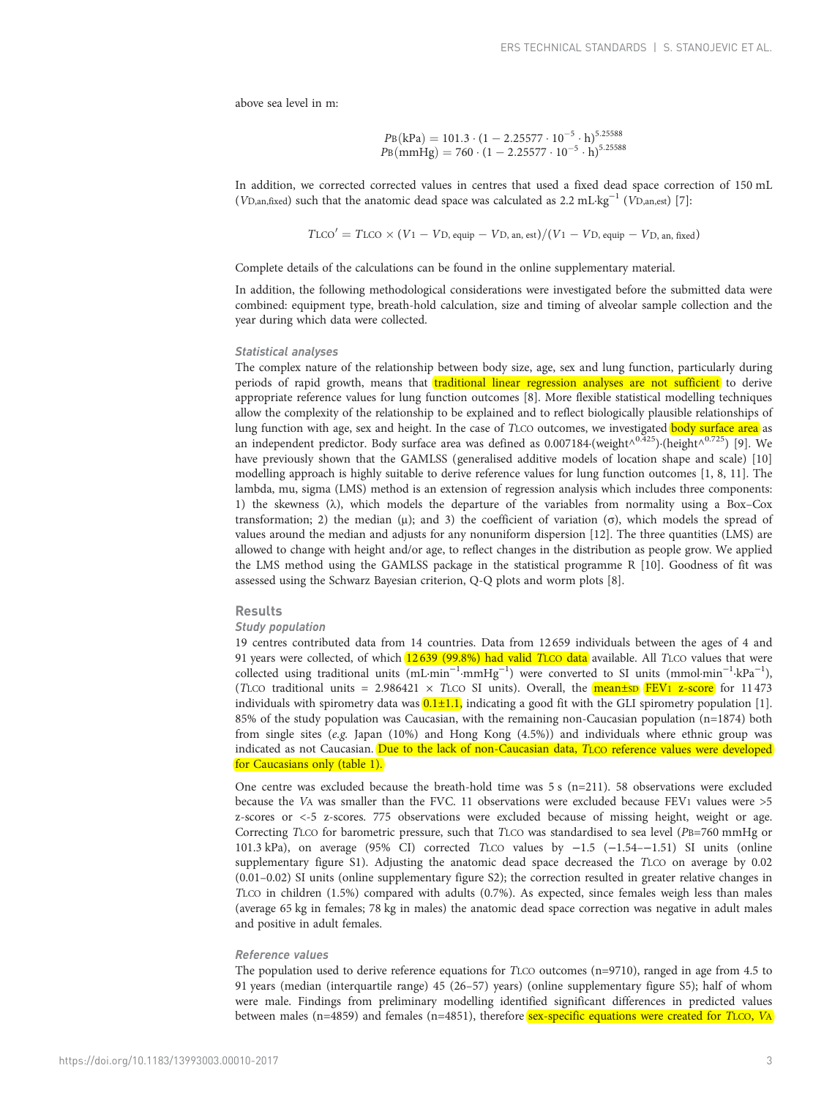above sea level in m:

$$
P_{B}(kPa) = 101.3 \cdot (1 - 2.25577 \cdot 10^{-5} \cdot h)^{5.25588}
$$
  

$$
P_{B}(mmHg) = 760 \cdot (1 - 2.25577 \cdot 10^{-5} \cdot h)^{5.25588}
$$

In addition, we corrected corrected values in centres that used a fixed dead space correction of 150 mL (VD,an,fixed) such that the anatomic dead space was calculated as 2.2 mL·kg<sup>-1</sup> (VD,an,est) [\[7](#page-11-0)]:

 $T_{\text{LCO}}' = T_{\text{LCO}} \times (V_1 - V_{\text{D, equip}} - V_{\text{D, an, est}})/(V_1 - V_{\text{D, equip}} - V_{\text{D, an, fixed}})$ 

Complete details of the calculations can be found in the online supplementary material.

In addition, the following methodological considerations were investigated before the submitted data were combined: equipment type, breath-hold calculation, size and timing of alveolar sample collection and the year during which data were collected.

## Statistical analyses

The complex nature of the relationship between body size, age, sex and lung function, particularly during periods of rapid growth, means that traditional linear regression analyses are not sufficient to derive appropriate reference values for lung function outcomes [[8\]](#page-11-0). More flexible statistical modelling techniques allow the complexity of the relationship to be explained and to reflect biologically plausible relationships of lung function with age, sex and height. In the case of TLCO outcomes, we investigated **body surface area** as an independent predictor. Body surface area was defined as 0.007184·(weight<sup> $\wedge^{0.425}$ </sup>)·(height $\wedge^{0.725}$ ) [[9\]](#page-11-0). We have previously shown that the GAMLSS (generalised additive models of location shape and scale) [[10](#page-11-0)] modelling approach is highly suitable to derive reference values for lung function outcomes [\[1, 8, 11](#page-11-0)]. The lambda, mu, sigma (LMS) method is an extension of regression analysis which includes three components: 1) the skewness  $(\lambda)$ , which models the departure of the variables from normality using a Box–Cox transformation; 2) the median (μ); and 3) the coefficient of variation (σ), which models the spread of values around the median and adjusts for any nonuniform dispersion [\[12\]](#page-11-0). The three quantities (LMS) are allowed to change with height and/or age, to reflect changes in the distribution as people grow. We applied the LMS method using the GAMLSS package in the statistical programme R [\[10\]](#page-11-0). Goodness of fit was assessed using the Schwarz Bayesian criterion, Q-Q plots and worm plots [\[8](#page-11-0)].

#### Results

#### Study population

19 centres contributed data from 14 countries. Data from 12 659 individuals between the ages of 4 and 91 years were collected, of which 12639 (99.8%) had valid TLCO data available. All TLCO values that were collected using traditional units (mL·min<sup>-1</sup>·mmHg<sup>-1</sup>) were converted to SI units (mmol·min<sup>-1</sup>·kPa<sup>-1</sup>), (TLCO traditional units =  $2.986421 \times$  TLCO SI units). Overall, the **mean±SD FEV1 z-score** for 11473 individuals with spirometry data was  $[0.1 \pm 1.1]$ , indicating a good fit with the GLI spirometry population [\[1](#page-11-0)]. 85% of the study population was Caucasian, with the remaining non-Caucasian population (n=1874) both from single sites (e.g. Japan (10%) and Hong Kong (4.5%)) and individuals where ethnic group was indicated as not Caucasian. Due to the lack of non-Caucasian data, TLCO reference values were developed for Caucasians only [\(table 1](#page-3-0)).

One centre was excluded because the breath-hold time was  $5 s$  (n=211). 58 observations were excluded because the VA was smaller than the FVC. 11 observations were excluded because FEV1 values were >5 z-scores or <-5 z-scores. 775 observations were excluded because of missing height, weight or age. Correcting TLCO for barometric pressure, such that TLCO was standardised to sea level (PB=760 mmHg or 101.3 kPa), on average (95% CI) corrected TLCO values by −1.5 (−1.54–−1.51) SI units (online supplementary figure S1). Adjusting the anatomic dead space decreased the TLCO on average by 0.02 (0.01–0.02) SI units (online supplementary figure S2); the correction resulted in greater relative changes in TLCO in children (1.5%) compared with adults (0.7%). As expected, since females weigh less than males (average 65 kg in females; 78 kg in males) the anatomic dead space correction was negative in adult males and positive in adult females.

## Reference values

The population used to derive reference equations for TLCO outcomes (n=9710), ranged in age from 4.5 to 91 years (median (interquartile range) 45 (26–57) years) (online supplementary figure S5); half of whom were male. Findings from preliminary modelling identified significant differences in predicted values between males (n=4859) and females (n=4851), therefore **sex-specific equations were created for TLCO, VA**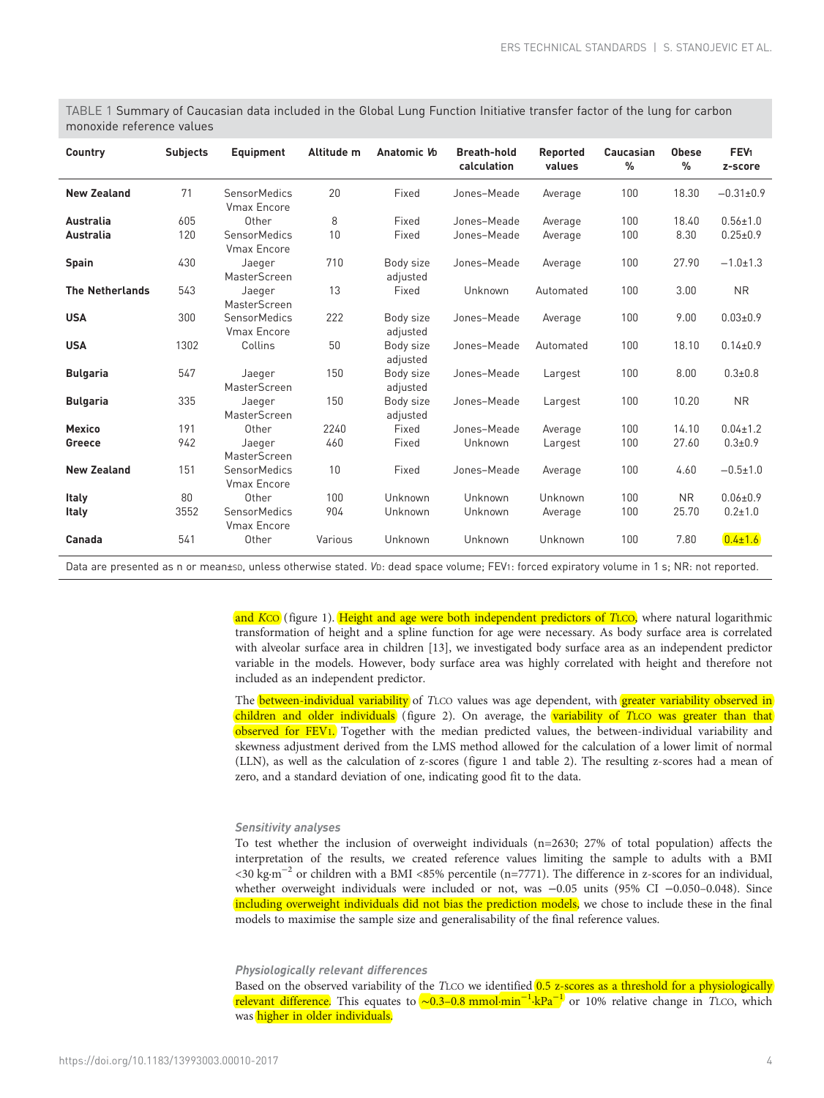| Country                | <b>Subjects</b> | <b>Equipment</b>                          | Altitude m | Anatomic Vo           | <b>Breath-hold</b><br>calculation | Reported<br>values | Caucasian<br>% | <b>Obese</b><br>% | FEV <sub>1</sub><br>z-score |
|------------------------|-----------------|-------------------------------------------|------------|-----------------------|-----------------------------------|--------------------|----------------|-------------------|-----------------------------|
| <b>New Zealand</b>     | 71              | SensorMedics<br><b>Vmax Encore</b>        | 20         | Fixed                 | Jones-Meade                       | Average            | 100            | 18.30             | $-0.31\pm0.9$               |
| Australia              | 605             | Other                                     | 8          | Fixed                 | Jones-Meade                       | Average            | 100            | 18.40             | $0.56 \pm 1.0$              |
| Australia              | 120             | <b>SensorMedics</b><br><b>Vmax Encore</b> | 10         | Fixed                 | Jones-Meade                       | Average            | 100            | 8.30              | $0.25 \pm 0.9$              |
| <b>Spain</b>           | 430             | Jaeger<br>MasterScreen                    | 710        | Body size<br>adjusted | Jones-Meade                       | Average            | 100            | 27.90             | $-1.0 \pm 1.3$              |
| <b>The Netherlands</b> | 543             | Jaeger<br>MasterScreen                    | 13         | Fixed                 | Unknown                           | Automated          | 100            | 3.00              | <b>NR</b>                   |
| <b>USA</b>             | 300             | <b>SensorMedics</b><br><b>Vmax Encore</b> | 222        | Body size<br>adjusted | Jones-Meade                       | Average            | 100            | 9.00              | $0.03 \pm 0.9$              |
| <b>USA</b>             | 1302            | Collins                                   | 50         | Body size<br>adjusted | Jones-Meade                       | Automated          | 100            | 18.10             | $0.14 \pm 0.9$              |
| <b>Bulgaria</b>        | 547             | Jaeger<br>MasterScreen                    | 150        | Body size<br>adjusted | Jones-Meade                       | Largest            | 100            | 8.00              | $0.3 + 0.8$                 |
| <b>Bulgaria</b>        | 335             | Jaeger<br>MasterScreen                    | 150        | Body size<br>adjusted | Jones-Meade                       | Largest            | 100            | 10.20             | <b>NR</b>                   |
| <b>Mexico</b>          | 191             | Other                                     | 2240       | Fixed                 | Jones-Meade                       | Average            | 100            | 14.10             | $0.04 \pm 1.2$              |
| Greece                 | 942             | Jaeger<br>MasterScreen                    | 460        | Fixed                 | Unknown                           | Largest            | 100            | 27.60             | $0.3 + 0.9$                 |
| <b>New Zealand</b>     | 151             | <b>SensorMedics</b><br><b>Vmax Encore</b> | 10         | Fixed                 | Jones-Meade                       | Average            | 100            | 4.60              | $-0.5 + 1.0$                |
| Italy                  | 80              | Other                                     | 100        | Unknown               | Unknown                           | Unknown            | 100            | <b>NR</b>         | $0.06 \pm 0.9$              |
| <b>Italy</b>           | 3552            | SensorMedics<br><b>Vmax Encore</b>        | 904        | Unknown               | Unknown                           | Average            | 100            | 25.70             | $0.2 + 1.0$                 |
| Canada                 | 541             | Other                                     | Various    | Unknown               | Unknown                           | Unknown            | 100            | 7.80              | $0.4 \pm 1.6$               |

<span id="page-3-0"></span>TABLE 1 Summary of Caucasian data included in the Global Lung Function Initiative transfer factor of the lung for carbon monoxide reference values

Data are presented as n or mean±sp, unless otherwise stated. Vp: dead space volume; FEV1: forced expiratory volume in 1 s; NR: not reported.

and KCO [\(figure 1\)](#page-4-0). Height and age were both independent predictors of TLCO, where natural logarithmic transformation of height and a spline function for age were necessary. As body surface area is correlated with alveolar surface area in children [[13](#page-11-0)], we investigated body surface area as an independent predictor variable in the models. However, body surface area was highly correlated with height and therefore not included as an independent predictor.

The **between-individual variability** of TLCO values was age dependent, with **greater variability observed in** children and older individuals ([figure 2](#page-4-0)). On average, the variability of TLCO was greater than that observed for FEV1. Together with the median predicted values, the between-individual variability and skewness adjustment derived from the LMS method allowed for the calculation of a lower limit of normal (LLN), as well as the calculation of z-scores [\(figure 1](#page-4-0) and [table 2](#page-5-0)). The resulting z-scores had a mean of zero, and a standard deviation of one, indicating good fit to the data.

# Sensitivity analyses

To test whether the inclusion of overweight individuals (n=2630; 27% of total population) affects the interpretation of the results, we created reference values limiting the sample to adults with a BMI <30 kg·m−<sup>2</sup> or children with a BMI <85% percentile (n=7771). The difference in z-scores for an individual, whether overweight individuals were included or not, was -0.05 units (95% CI -0.050-0.048). Since including overweight individuals did not bias the prediction models, we chose to include these in the final models to maximise the sample size and generalisability of the final reference values.

Physiologically relevant differences

Based on the observed variability of the TLCO we identified 0.5 z-scores as a threshold for a physiologically <mark>relevant difference</mark>. This equates to <mark>∼0.3–0.8 mmol·min<sup>−1</sup>·kPa<sup>−1</sup> or 10% relative change in TLCO, which</mark> was higher in older individuals.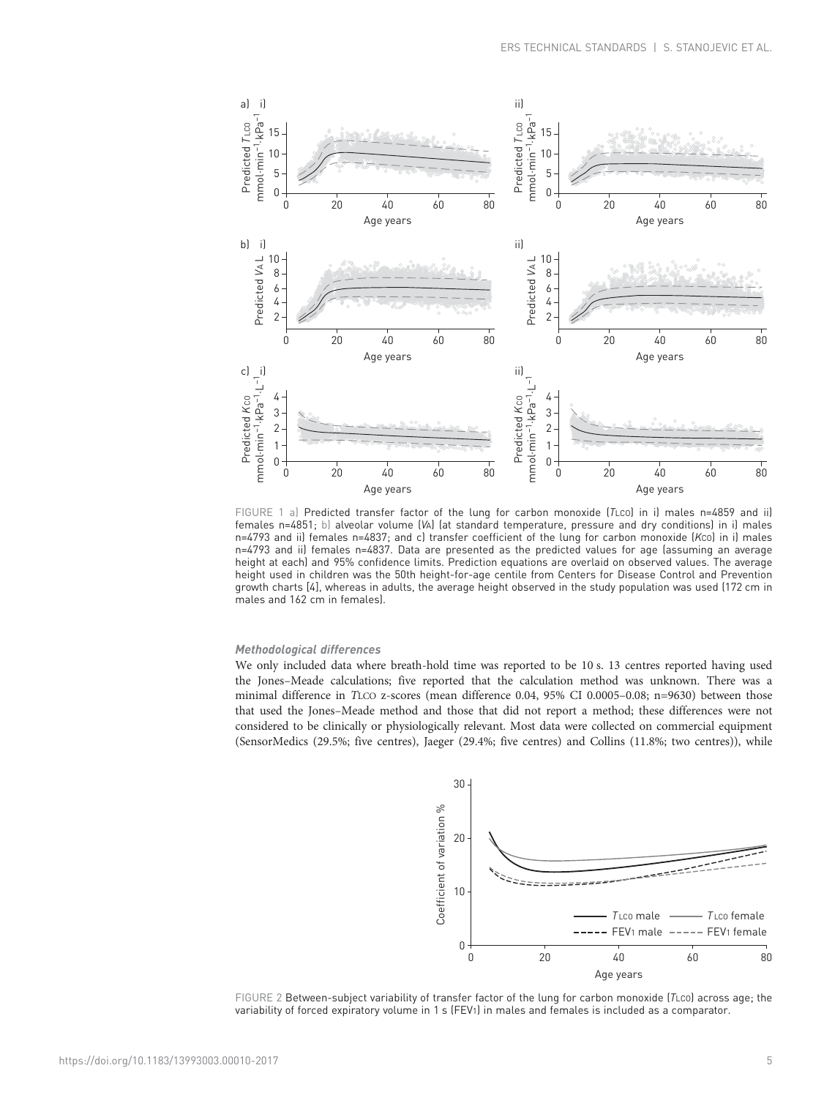<span id="page-4-0"></span>

FIGURE 1 a) Predicted transfer factor of the lung for carbon monoxide (TLco) in i) males n=4859 and ii) females n=4851; b) alveolar volume (VA) (at standard temperature, pressure and dry conditions) in i) males n=4793 and ii) females n=4837; and c) transfer coefficient of the lung for carbon monoxide (KCO) in i) males n=4793 and ii) females n=4837. Data are presented as the predicted values for age (assuming an average height at each) and 95% confidence limits. Prediction equations are overlaid on observed values. The average height used in children was the 50th height-for-age centile from Centers for Disease Control and Prevention growth charts [[4](#page-11-0)], whereas in adults, the average height observed in the study population was used (172 cm in males and 162 cm in females).

## Methodological differences

We only included data where breath-hold time was reported to be 10 s. 13 centres reported having used the Jones–Meade calculations; five reported that the calculation method was unknown. There was a minimal difference in TLCO z-scores (mean difference 0.04, 95% CI 0.0005–0.08; n=9630) between those that used the Jones–Meade method and those that did not report a method; these differences were not considered to be clinically or physiologically relevant. Most data were collected on commercial equipment (SensorMedics (29.5%; five centres), Jaeger (29.4%; five centres) and Collins (11.8%; two centres)), while



FIGURE 2 Between-subject variability of transfer factor of the lung for carbon monoxide (TLCO) across age; the variability of forced expiratory volume in 1 s (FEV1) in males and females is included as a comparator.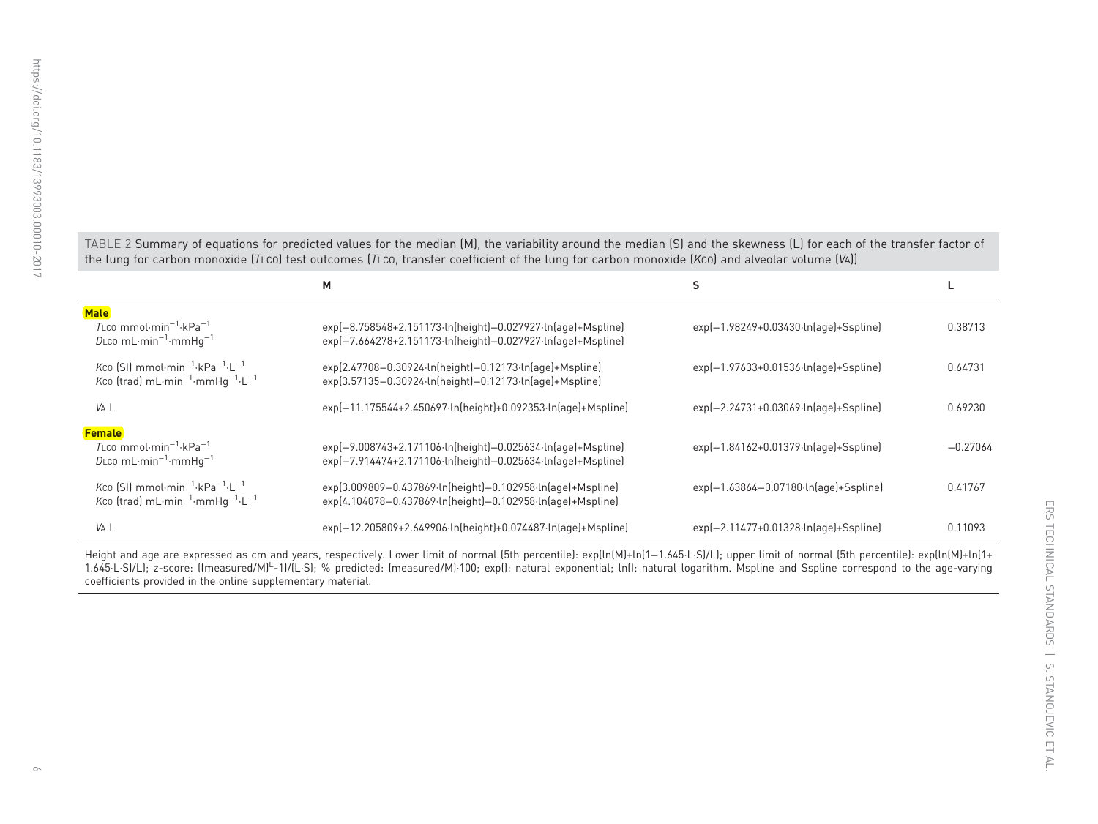j.

<span id="page-5-0"></span>TABLE 2 Summary of equations for predicted values for the median (M), the variability around the median (S) and the skewness (L) for each of the transfer factor of the lung for carbon monoxide (TLCO) test outcomes (TLCO, transfer coefficient of the lung for carbon monoxide (KCO) and alveolar volume (VA))

|                                                                                                                                                            | М                                                                                                                          | s                                                |            |
|------------------------------------------------------------------------------------------------------------------------------------------------------------|----------------------------------------------------------------------------------------------------------------------------|--------------------------------------------------|------------|
| <b>Male</b><br>$T_{\text{LCO}}$ mmol $\cdot$ min <sup>-1</sup> $\cdot$ kPa <sup>-1</sup><br>DLco mL $\cdot$ min <sup>-1</sup> $\cdot$ mmHg <sup>-1</sup>   | exp(-8.758548+2.151173-ln(height)-0.027927-ln(age)+Mspline)<br>exp(-7.664278+2.151173-ln(height)-0.027927-ln(age)+Mspline) | $exp[-1.98249+0.03430\cdot ln[age]+Ssplit]$      | 0.38713    |
| Kco [SI] mmol $\cdot$ min <sup>-1</sup> $\cdot$ kPa <sup>-1</sup> $\cdot$ L <sup>-1</sup><br>Kco (trad) $mL \cdot min^{-1} \cdot mmHg^{-1} \cdot L^{-1}$   | exp(2.47708-0.30924-ln(height)-0.12173-ln(age)+Mspline)<br>exp(3.57135-0.30924-ln(height)-0.12173-ln(age)+Mspline)         | $exp[-1.97633+0.01536 \cdot ln[age]+Ssplit]$     | 0.64731    |
| VA L                                                                                                                                                       | exp(-11.175544+2.450697-ln(height)+0.092353-ln(age)+Mspline)                                                               | exp(-2.24731+0.03069-ln(age)+Sspline)            | 0.69230    |
| <b>Female</b><br>$T_{\text{LCO}}$ mmol $\cdot$ min <sup>-1</sup> $\cdot$ kPa <sup>-1</sup><br>DLco mL $\cdot$ min <sup>-1</sup> $\cdot$ mmHg <sup>-1</sup> | exp(-9.008743+2.171106·ln(height)-0.025634·ln(age)+Mspline)<br>exp(-7.914474+2.171106·ln(height)-0.025634·ln(age)+Mspline) | exp(-1.84162+0.01379-ln(age)+Sspline)            | $-0.27064$ |
| Kco [SI] mmol·min <sup>-1</sup> ·kPa <sup>-1</sup> ·L <sup>-1</sup><br>Kco (trad) $mL \cdot min^{-1} \cdot mmHg^{-1} \cdot L^{-1}$                         | exp(3.009809-0.437869-ln(height)-0.102958-ln(age)+Mspline)<br>exp(4.104078-0.437869-ln(height)-0.102958-ln(age)+Mspline)   | $exp[-1.63864 - 0.07180 \cdot ln[age] + Ssplit]$ | 0.41767    |
| VA L                                                                                                                                                       | exp(-12.205809+2.649906·ln(height)+0.074487·ln(age)+Mspline)                                                               | exp(-2.11477+0.01328-ln(age)+Sspline)            | 0.11093    |

Height and age are expressed as cm and years, respectively. Lower limit of normal (5th percentile): exp(ln(M)+ln(1−1.645·L·S)/L); upper limit of normal (5th percentile): exp(ln(M)+ln(1+ 1.645·L·S)/L); z-score: ((measured/M)L-1)/(L·S); % predicted: (measured/M)·100; exp(): natural exponential; ln(): natural logarithm. Mspline and Sspline correspond to the age-varying coefficients provided in the online supplementary material.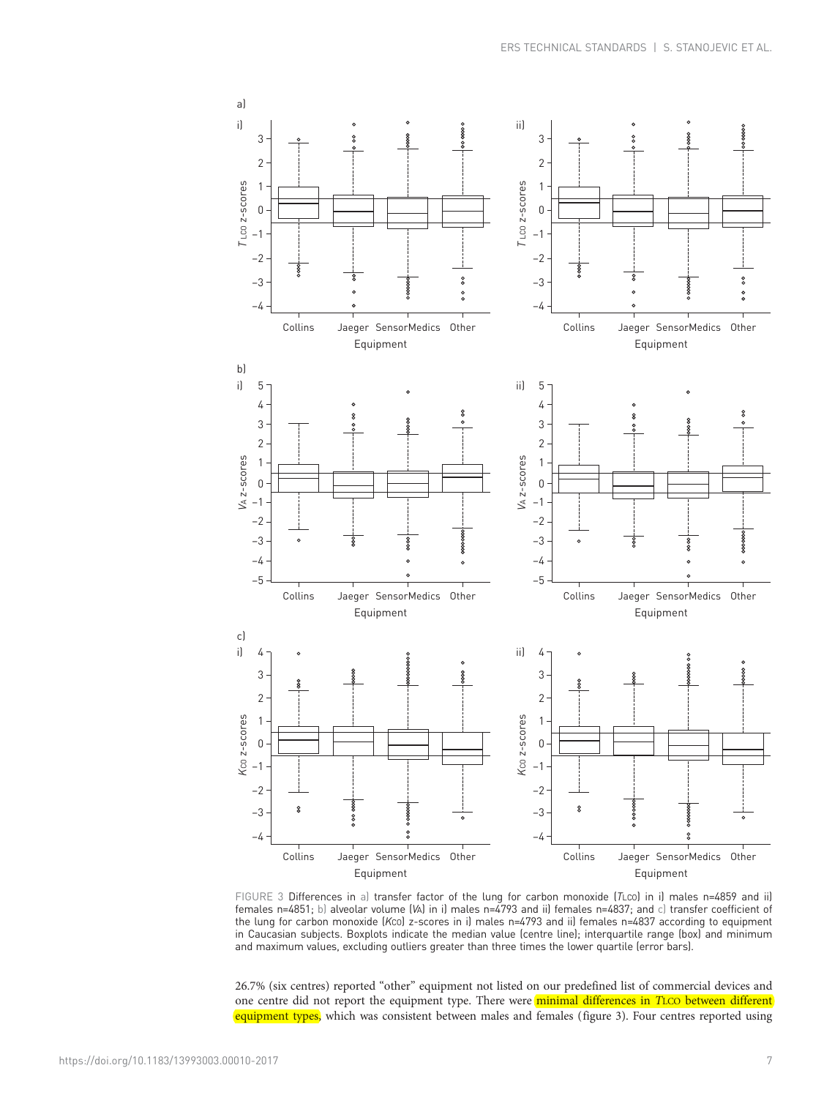

FIGURE 3 Differences in a) transfer factor of the lung for carbon monoxide (TLco) in i) males n=4859 and ii) females n=4851; b) alveolar volume (VA) in i) males n=4793 and ii) females n=4837; and c) transfer coefficient of the lung for carbon monoxide (KCO) z-scores in i) males n=4793 and ii) females n=4837 according to equipment in Caucasian subjects. Boxplots indicate the median value (centre line); interquartile range (box) and minimum and maximum values, excluding outliers greater than three times the lower quartile (error bars).

26.7% (six centres) reported "other" equipment not listed on our predefined list of commercial devices and one centre did not report the equipment type. There were minimal differences in TLCO between different equipment types, which was consistent between males and females (figure 3). Four centres reported using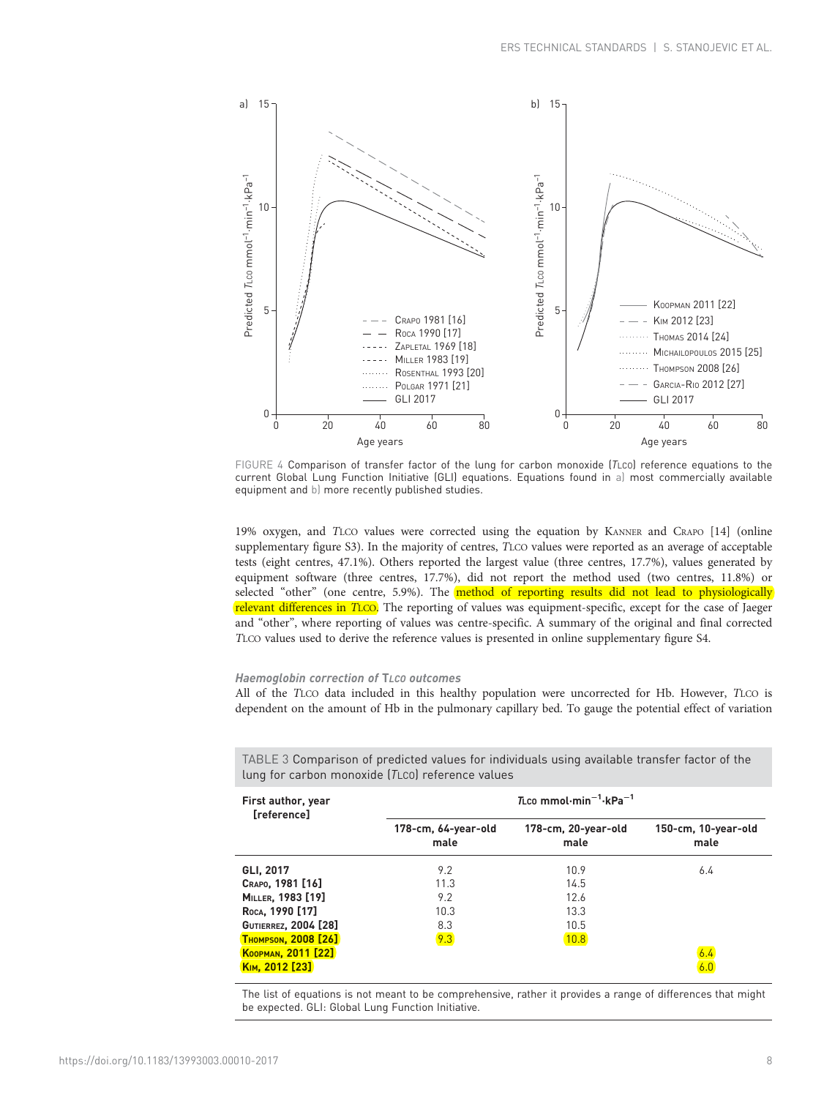<span id="page-7-0"></span>

FIGURE 4 Comparison of transfer factor of the lung for carbon monoxide (TLco) reference equations to the current Global Lung Function Initiative (GLI) equations. Equations found in a) most commercially available equipment and b) more recently published studies.

19% oxygen, and TLCO values were corrected using the equation by KANNER and CRAPO [[14](#page-11-0)] (online supplementary figure S3). In the majority of centres, TLCO values were reported as an average of acceptable tests (eight centres, 47.1%). Others reported the largest value (three centres, 17.7%), values generated by equipment software (three centres, 17.7%), did not report the method used (two centres, 11.8%) or selected "other" (one centre, 5.9%). The **method of reporting results did not lead to physiologically** relevant differences in TLCO. The reporting of values was equipment-specific, except for the case of Jaeger and "other", where reporting of values was centre-specific. A summary of the original and final corrected TLCO values used to derive the reference values is presented in online supplementary figure S4.

# Haemoglobin correction of TLCO outcomes

All of the TLCO data included in this healthy population were uncorrected for Hb. However, TLCO is dependent on the amount of Hb in the pulmonary capillary bed. To gauge the potential effect of variation

| First author, year<br>[reference] | $T_{LC0}$ mmol $\cdot$ min $^{-1}$ $\cdot$ kPa $^{-1}$ |                             |                             |  |  |  |
|-----------------------------------|--------------------------------------------------------|-----------------------------|-----------------------------|--|--|--|
|                                   | 178-cm, 64-year-old<br>male                            | 178-cm, 20-year-old<br>male | 150-cm, 10-year-old<br>male |  |  |  |
| GLI, 2017                         | 9.2                                                    | 10.9                        | 6.4                         |  |  |  |
| CRAPO, 1981 [16]                  | 11.3                                                   | 14.5                        |                             |  |  |  |
| MILLER, 1983 [19]                 | 9.2                                                    | 12.6                        |                             |  |  |  |
| Roca, 1990 [17]                   | 10.3                                                   | 13.3                        |                             |  |  |  |
| <b>GUTIERREZ, 2004 [28]</b>       | 8.3                                                    | 10.5                        |                             |  |  |  |
| <b>THOMPSON, 2008 [26]</b>        | 9.3                                                    | 10.8                        |                             |  |  |  |
| KOOPMAN, 2011 [22]                |                                                        |                             | 6.4                         |  |  |  |
| KIM, 2012 [23]                    |                                                        |                             |                             |  |  |  |

TABLE 3 Comparison of predicted values for individuals using available transfer factor of the lung for carbon monoxide (TLCO) reference values

The list of equations is not meant to be comprehensive, rather it provides a range of differences that might be expected. GLI: Global Lung Function Initiative.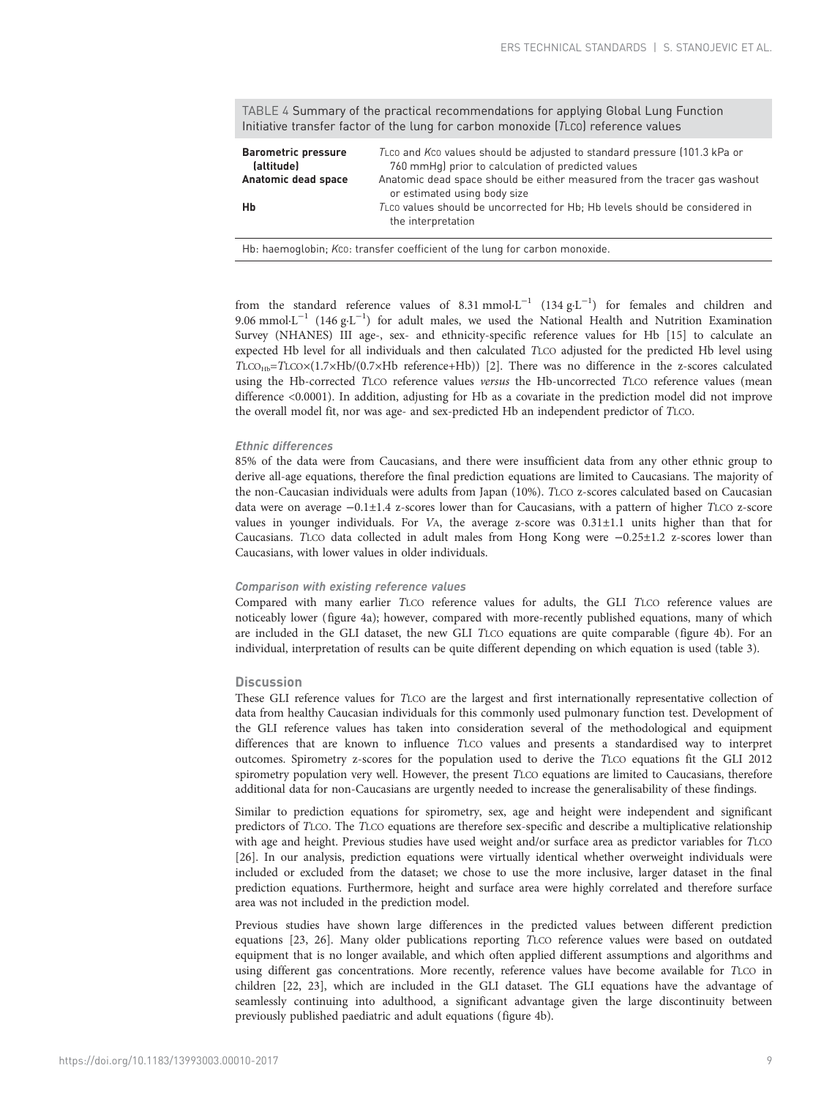TABLE 4 Summary of the practical recommendations for applying Global Lung Function Initiative transfer factor of the lung for carbon monoxide (TLCO) reference values

| <b>Barometric pressure</b><br>(altitude) | TLCO and KCO values should be adjusted to standard pressure (101.3 kPa or<br>760 mmHq) prior to calculation of predicted values |
|------------------------------------------|---------------------------------------------------------------------------------------------------------------------------------|
| Anatomic dead space                      | Anatomic dead space should be either measured from the tracer gas washout<br>or estimated using body size                       |
| Hb                                       | TLCO values should be uncorrected for Hb; Hb levels should be considered in<br>the interpretation                               |

Hb: haemoglobin; Kco: transfer coefficient of the lung for carbon monoxide.

from the standard reference values of 8.31 mmol $L^{-1}$  (134  $g L^{-1}$ ) for females and children and 9.06 mmol·L<sup>-1</sup> (146 g·L<sup>-1</sup>) for adult males, we used the National Health and Nutrition Examination Survey (NHANES) III age-, sex- and ethnicity-specific reference values for Hb [[15](#page-11-0)] to calculate an expected Hb level for all individuals and then calculated TLCO adjusted for the predicted Hb level using TLCO<sub>Hb</sub>=TLCO×(1.7×Hb/(0.7×Hb reference+Hb)) [\[2\]](#page-11-0). There was no difference in the z-scores calculated using the Hb-corrected TLCO reference values versus the Hb-uncorrected TLCO reference values (mean difference <0.0001). In addition, adjusting for Hb as a covariate in the prediction model did not improve the overall model fit, nor was age- and sex-predicted Hb an independent predictor of TLCO.

# Ethnic differences

85% of the data were from Caucasians, and there were insufficient data from any other ethnic group to derive all-age equations, therefore the final prediction equations are limited to Caucasians. The majority of the non-Caucasian individuals were adults from Japan (10%). TLCO z-scores calculated based on Caucasian data were on average −0.1±1.4 z-scores lower than for Caucasians, with a pattern of higher TLCO z-score values in younger individuals. For VA, the average z-score was 0.31±1.1 units higher than that for Caucasians. TLCO data collected in adult males from Hong Kong were −0.25±1.2 z-scores lower than Caucasians, with lower values in older individuals.

## Comparison with existing reference values

Compared with many earlier TLCO reference values for adults, the GLI TLCO reference values are noticeably lower [\(figure 4a](#page-7-0)); however, compared with more-recently published equations, many of which are included in the GLI dataset, the new GLI TLCO equations are quite comparable ([figure 4b\)](#page-7-0). For an individual, interpretation of results can be quite different depending on which equation is used [\(table 3](#page-7-0)).

## **Discussion**

These GLI reference values for TLCO are the largest and first internationally representative collection of data from healthy Caucasian individuals for this commonly used pulmonary function test. Development of the GLI reference values has taken into consideration several of the methodological and equipment differences that are known to influence TLCO values and presents a standardised way to interpret outcomes. Spirometry z-scores for the population used to derive the TLCO equations fit the GLI 2012 spirometry population very well. However, the present TLCO equations are limited to Caucasians, therefore additional data for non-Caucasians are urgently needed to increase the generalisability of these findings.

Similar to prediction equations for spirometry, sex, age and height were independent and significant predictors of TLCO. The TLCO equations are therefore sex-specific and describe a multiplicative relationship with age and height. Previous studies have used weight and/or surface area as predictor variables for TLCO [\[26\]](#page-11-0). In our analysis, prediction equations were virtually identical whether overweight individuals were included or excluded from the dataset; we chose to use the more inclusive, larger dataset in the final prediction equations. Furthermore, height and surface area were highly correlated and therefore surface area was not included in the prediction model.

Previous studies have shown large differences in the predicted values between different prediction equations [\[23, 26\]](#page-11-0). Many older publications reporting TLCO reference values were based on outdated equipment that is no longer available, and which often applied different assumptions and algorithms and using different gas concentrations. More recently, reference values have become available for TLCO in children [\[22, 23](#page-11-0)], which are included in the GLI dataset. The GLI equations have the advantage of seamlessly continuing into adulthood, a significant advantage given the large discontinuity between previously published paediatric and adult equations ([figure 4b](#page-7-0)).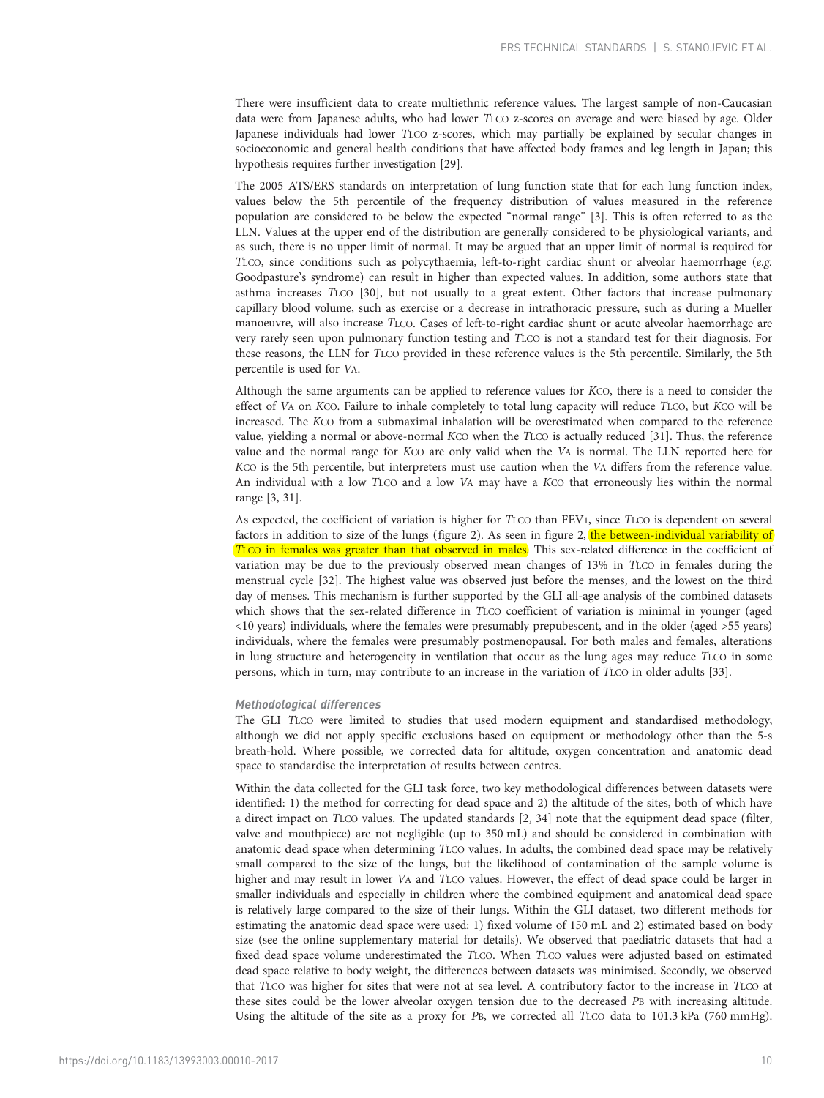There were insufficient data to create multiethnic reference values. The largest sample of non-Caucasian data were from Japanese adults, who had lower TLCO z-scores on average and were biased by age. Older Japanese individuals had lower TLCO z-scores, which may partially be explained by secular changes in socioeconomic and general health conditions that have affected body frames and leg length in Japan; this hypothesis requires further investigation [\[29\]](#page-11-0).

The 2005 ATS/ERS standards on interpretation of lung function state that for each lung function index, values below the 5th percentile of the frequency distribution of values measured in the reference population are considered to be below the expected "normal range" [[3](#page-11-0)]. This is often referred to as the LLN. Values at the upper end of the distribution are generally considered to be physiological variants, and as such, there is no upper limit of normal. It may be argued that an upper limit of normal is required for TLCO, since conditions such as polycythaemia, left-to-right cardiac shunt or alveolar haemorrhage (e.g. Goodpasture's syndrome) can result in higher than expected values. In addition, some authors state that asthma increases TLCO [[30\]](#page-12-0), but not usually to a great extent. Other factors that increase pulmonary capillary blood volume, such as exercise or a decrease in intrathoracic pressure, such as during a Mueller manoeuvre, will also increase TLCO. Cases of left-to-right cardiac shunt or acute alveolar haemorrhage are very rarely seen upon pulmonary function testing and TLCO is not a standard test for their diagnosis. For these reasons, the LLN for TLCO provided in these reference values is the 5th percentile. Similarly, the 5th percentile is used for VA.

Although the same arguments can be applied to reference values for KCO, there is a need to consider the effect of VA on KCO. Failure to inhale completely to total lung capacity will reduce TLCO, but KCO will be increased. The KCO from a submaximal inhalation will be overestimated when compared to the reference value, yielding a normal or above-normal KCO when the TLCO is actually reduced [\[31](#page-12-0)]. Thus, the reference value and the normal range for KCO are only valid when the VA is normal. The LLN reported here for KCO is the 5th percentile, but interpreters must use caution when the VA differs from the reference value. An individual with a low TLCO and a low VA may have a KCO that erroneously lies within the normal range [[3,](#page-11-0) [31](#page-12-0)].

As expected, the coefficient of variation is higher for TLCO than FEV1, since TLCO is dependent on several factors in addition to size of the lungs [\(figure 2\)](#page-4-0). As seen in [figure 2,](#page-4-0) the between-individual variability of TLCO in females was greater than that observed in males. This sex-related difference in the coefficient of variation may be due to the previously observed mean changes of 13% in TLCO in females during the menstrual cycle [\[32\]](#page-12-0). The highest value was observed just before the menses, and the lowest on the third day of menses. This mechanism is further supported by the GLI all-age analysis of the combined datasets which shows that the sex-related difference in TLCO coefficient of variation is minimal in younger (aged <10 years) individuals, where the females were presumably prepubescent, and in the older (aged >55 years) individuals, where the females were presumably postmenopausal. For both males and females, alterations in lung structure and heterogeneity in ventilation that occur as the lung ages may reduce TLCO in some persons, which in turn, may contribute to an increase in the variation of TLCO in older adults [\[33\]](#page-12-0).

## Methodological differences

The GLI TLCO were limited to studies that used modern equipment and standardised methodology, although we did not apply specific exclusions based on equipment or methodology other than the 5-s breath-hold. Where possible, we corrected data for altitude, oxygen concentration and anatomic dead space to standardise the interpretation of results between centres.

Within the data collected for the GLI task force, two key methodological differences between datasets were identified: 1) the method for correcting for dead space and 2) the altitude of the sites, both of which have a direct impact on TLCO values. The updated standards [\[2](#page-11-0), [34\]](#page-12-0) note that the equipment dead space (filter, valve and mouthpiece) are not negligible (up to 350 mL) and should be considered in combination with anatomic dead space when determining TLCO values. In adults, the combined dead space may be relatively small compared to the size of the lungs, but the likelihood of contamination of the sample volume is higher and may result in lower VA and TLCO values. However, the effect of dead space could be larger in smaller individuals and especially in children where the combined equipment and anatomical dead space is relatively large compared to the size of their lungs. Within the GLI dataset, two different methods for estimating the anatomic dead space were used: 1) fixed volume of 150 mL and 2) estimated based on body size (see the online supplementary material for details). We observed that paediatric datasets that had a fixed dead space volume underestimated the TLCO. When TLCO values were adjusted based on estimated dead space relative to body weight, the differences between datasets was minimised. Secondly, we observed that TLCO was higher for sites that were not at sea level. A contributory factor to the increase in TLCO at these sites could be the lower alveolar oxygen tension due to the decreased PB with increasing altitude. Using the altitude of the site as a proxy for PB, we corrected all TLCO data to 101.3 kPa (760 mmHg).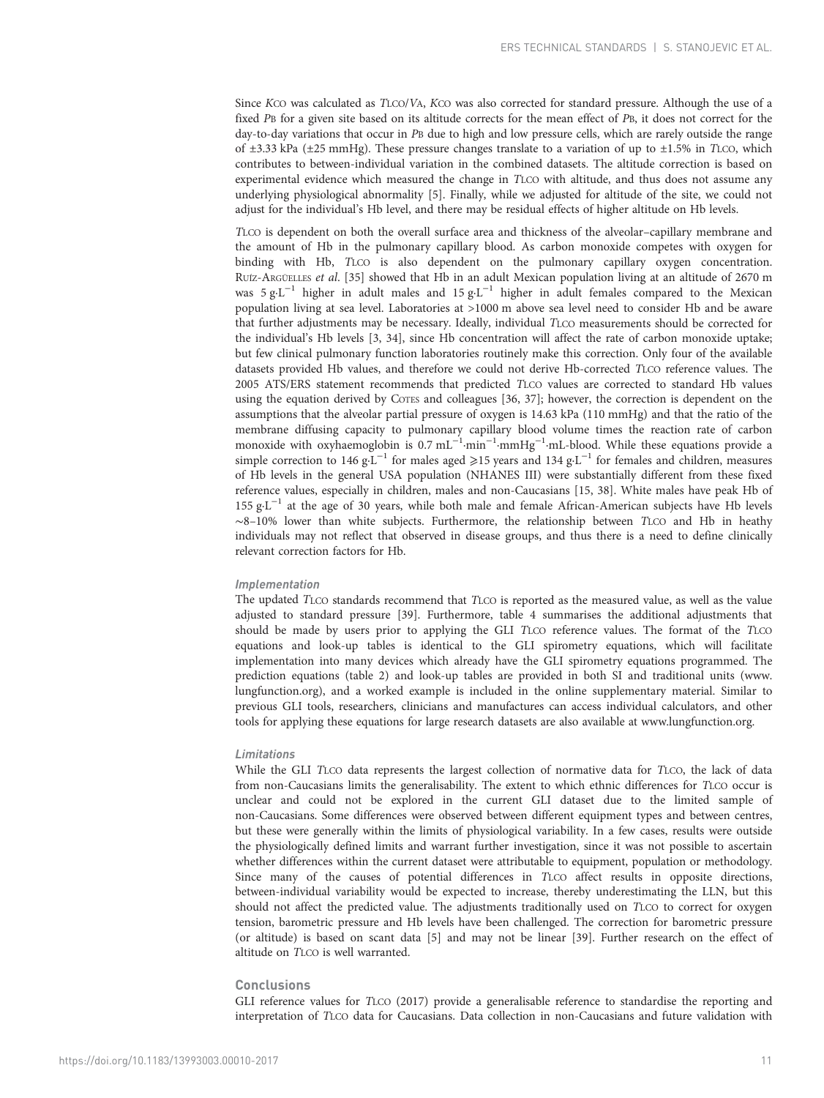Since KCO was calculated as TLCO/VA, KCO was also corrected for standard pressure. Although the use of a fixed PB for a given site based on its altitude corrects for the mean effect of PB, it does not correct for the day-to-day variations that occur in PB due to high and low pressure cells, which are rarely outside the range of  $\pm 3.33$  kPa ( $\pm 25$  mmHg). These pressure changes translate to a variation of up to  $\pm 1.5\%$  in TLCO, which contributes to between-individual variation in the combined datasets. The altitude correction is based on experimental evidence which measured the change in TLCO with altitude, and thus does not assume any underlying physiological abnormality [[5\]](#page-11-0). Finally, while we adjusted for altitude of the site, we could not adjust for the individual's Hb level, and there may be residual effects of higher altitude on Hb levels.

TLCO is dependent on both the overall surface area and thickness of the alveolar–capillary membrane and the amount of Hb in the pulmonary capillary blood. As carbon monoxide competes with oxygen for binding with Hb, TLCO is also dependent on the pulmonary capillary oxygen concentration. RUÍZ-ARGÜELLES et al. [\[35\]](#page-12-0) showed that Hb in an adult Mexican population living at an altitude of 2670 m was 5 g·L<sup>-1</sup> higher in adult males and 15 g·L<sup>-1</sup> higher in adult females compared to the Mexican population living at sea level. Laboratories at >1000 m above sea level need to consider Hb and be aware that further adjustments may be necessary. Ideally, individual TLCO measurements should be corrected for the individual's Hb levels [[3,](#page-11-0) [34\]](#page-12-0), since Hb concentration will affect the rate of carbon monoxide uptake; but few clinical pulmonary function laboratories routinely make this correction. Only four of the available datasets provided Hb values, and therefore we could not derive Hb-corrected TLCO reference values. The 2005 ATS/ERS statement recommends that predicted TLCO values are corrected to standard Hb values using the equation derived by COTES and colleagues [[36](#page-12-0), [37\]](#page-12-0); however, the correction is dependent on the assumptions that the alveolar partial pressure of oxygen is 14.63 kPa (110 mmHg) and that the ratio of the membrane diffusing capacity to pulmonary capillary blood volume times the reaction rate of carbon monoxide with oxyhaemoglobin is 0.7 mL<sup>-1</sup>·min<sup>-1</sup>·mmHg<sup>-1</sup>·mL-blood. While these equations provide a simple correction to 146 g⋅L<sup>-1</sup> for males aged ≥15 years and 134 g⋅L<sup>-1</sup> for females and children, measures of Hb levels in the general USA population (NHANES III) were substantially different from these fixed reference values, especially in children, males and non-Caucasians [\[15,](#page-11-0) [38\]](#page-12-0). White males have peak Hb of 155 g·L−<sup>1</sup> at the age of 30 years, while both male and female African-American subjects have Hb levels ∼8–10% lower than white subjects. Furthermore, the relationship between TLCO and Hb in heathy individuals may not reflect that observed in disease groups, and thus there is a need to define clinically relevant correction factors for Hb.

#### Implementation

The updated TLCO standards recommend that TLCO is reported as the measured value, as well as the value adjusted to standard pressure [\[39\]](#page-12-0). Furthermore, table 4 summarises the additional adjustments that should be made by users prior to applying the GLI TLCO reference values. The format of the TLCO equations and look-up tables is identical to the GLI spirometry equations, which will facilitate implementation into many devices which already have the GLI spirometry equations programmed. The prediction equations ([table 2](#page-5-0)) and look-up tables are provided in both SI and traditional units [\(www.](http://www.lungfunction.org) [lungfunction.org](http://www.lungfunction.org)), and a worked example is included in the online supplementary material. Similar to previous GLI tools, researchers, clinicians and manufactures can access individual calculators, and other tools for applying these equations for large research datasets are also available at [www.lungfunction.org.](http://www.lungfunction.org)

## Limitations

While the GLI TLCO data represents the largest collection of normative data for TLCO, the lack of data from non-Caucasians limits the generalisability. The extent to which ethnic differences for TLCO occur is unclear and could not be explored in the current GLI dataset due to the limited sample of non-Caucasians. Some differences were observed between different equipment types and between centres, but these were generally within the limits of physiological variability. In a few cases, results were outside the physiologically defined limits and warrant further investigation, since it was not possible to ascertain whether differences within the current dataset were attributable to equipment, population or methodology. Since many of the causes of potential differences in TLCO affect results in opposite directions, between-individual variability would be expected to increase, thereby underestimating the LLN, but this should not affect the predicted value. The adjustments traditionally used on TLCO to correct for oxygen tension, barometric pressure and Hb levels have been challenged. The correction for barometric pressure (or altitude) is based on scant data [[5](#page-11-0)] and may not be linear [[39](#page-12-0)]. Further research on the effect of altitude on TLCO is well warranted.

## **Conclusions**

GLI reference values for TLCO (2017) provide a generalisable reference to standardise the reporting and interpretation of TLCO data for Caucasians. Data collection in non-Caucasians and future validation with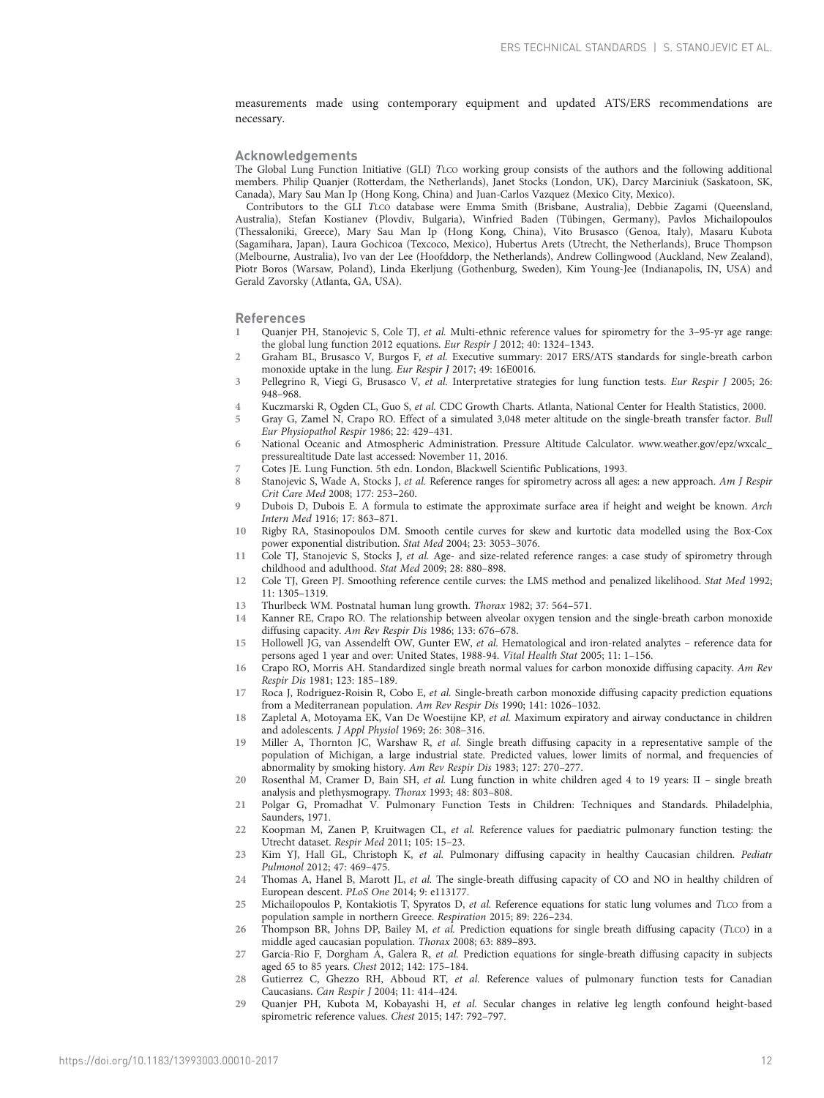<span id="page-11-0"></span>measurements made using contemporary equipment and updated ATS/ERS recommendations are necessary.

#### Acknowledgements

The Global Lung Function Initiative (GLI) TLCO working group consists of the authors and the following additional members. Philip Quanjer (Rotterdam, the Netherlands), Janet Stocks (London, UK), Darcy Marciniuk (Saskatoon, SK, Canada), Mary Sau Man Ip (Hong Kong, China) and Juan-Carlos Vazquez (Mexico City, Mexico).

Contributors to the GLI TLCO database were Emma Smith (Brisbane, Australia), Debbie Zagami (Queensland, Australia), Stefan Kostianev (Plovdiv, Bulgaria), Winfried Baden (Tübingen, Germany), Pavlos Michailopoulos (Thessaloniki, Greece), Mary Sau Man Ip (Hong Kong, China), Vito Brusasco (Genoa, Italy), Masaru Kubota (Sagamihara, Japan), Laura Gochicoa (Texcoco, Mexico), Hubertus Arets (Utrecht, the Netherlands), Bruce Thompson (Melbourne, Australia), Ivo van der Lee (Hoofddorp, the Netherlands), Andrew Collingwood (Auckland, New Zealand), Piotr Boros (Warsaw, Poland), Linda Ekerljung (Gothenburg, Sweden), Kim Young-Jee (Indianapolis, IN, USA) and Gerald Zavorsky (Atlanta, GA, USA).

#### References

- 1 Quanjer PH, Stanojevic S, Cole TJ, et al. Multi-ethnic reference values for spirometry for the 3–95-yr age range: the global lung function 2012 equations. Eur Respir J 2012; 40: 1324–1343.
- 2 Graham BL, Brusasco V, Burgos F, et al. Executive summary: 2017 ERS/ATS standards for single-breath carbon monoxide uptake in the lung. Eur Respir J 2017; 49: 16E0016.
- 3 Pellegrino R, Viegi G, Brusasco V, et al. Interpretative strategies for lung function tests. Eur Respir J 2005; 26: 948–968.
- 4 Kuczmarski R, Ogden CL, Guo S, et al. CDC Growth Charts. Atlanta, National Center for Health Statistics, 2000.
- 5 Gray G, Zamel N, Crapo RO. Effect of a simulated 3,048 meter altitude on the single-breath transfer factor. Bull Eur Physiopathol Respir 1986; 22: 429–431.
- 6 National Oceanic and Atmospheric Administration. Pressure Altitude Calculator. [www.weather.gov/epz/wxcalc\\_](http://www.weather.gov/epz/wxcalc_pressurealtitude) [pressurealtitude](http://www.weather.gov/epz/wxcalc_pressurealtitude) Date last accessed: November 11, 2016.
- 7 Cotes JE. Lung Function. 5th edn. London, Blackwell Scientific Publications, 1993.
- 8 Stanojevic S, Wade A, Stocks J, et al. Reference ranges for spirometry across all ages: a new approach. Am J Respir Crit Care Med 2008; 177: 253–260.
- 9 Dubois D, Dubois E. A formula to estimate the approximate surface area if height and weight be known. Arch Intern Med 1916; 17: 863–871.
- 10 Rigby RA, Stasinopoulos DM. Smooth centile curves for skew and kurtotic data modelled using the Box-Cox power exponential distribution. Stat Med 2004; 23: 3053–3076.
- 11 Cole TJ, Stanojevic S, Stocks J, et al. Age- and size-related reference ranges: a case study of spirometry through childhood and adulthood. Stat Med 2009; 28: 880–898.
- 12 Cole TJ, Green PJ. Smoothing reference centile curves: the LMS method and penalized likelihood. Stat Med 1992; 11: 1305–1319.
- 13 Thurlbeck WM. Postnatal human lung growth. Thorax 1982; 37: 564–571.
- 14 Kanner RE, Crapo RO. The relationship between alveolar oxygen tension and the single-breath carbon monoxide diffusing capacity. Am Rev Respir Dis 1986; 133: 676–678.
- 15 Hollowell JG, van Assendelft OW, Gunter EW, et al. Hematological and iron-related analytes reference data for persons aged 1 year and over: United States, 1988-94. Vital Health Stat 2005; 11: 1–156.
- 16 Crapo RO, Morris AH. Standardized single breath normal values for carbon monoxide diffusing capacity. Am Rev Respir Dis 1981; 123: 185–189.
- 17 Roca J, Rodriguez-Roisin R, Cobo E, et al. Single-breath carbon monoxide diffusing capacity prediction equations from a Mediterranean population. Am Rev Respir Dis 1990; 141: 1026–1032.
- 18 Zapletal A, Motoyama EK, Van De Woestijne KP, et al. Maximum expiratory and airway conductance in children and adolescents. J Appl Physiol 1969; 26: 308–316.
- 19 Miller A, Thornton JC, Warshaw R, et al. Single breath diffusing capacity in a representative sample of the population of Michigan, a large industrial state. Predicted values, lower limits of normal, and frequencies of abnormality by smoking history. Am Rev Respir Dis 1983; 127: 270–277.
- 20 Rosenthal M, Cramer D, Bain SH, et al. Lung function in white children aged 4 to 19 years: II single breath analysis and plethysmograpy. Thorax 1993; 48: 803–808.
- 21 Polgar G, Promadhat V. Pulmonary Function Tests in Children: Techniques and Standards. Philadelphia, Saunders, 1971.
- 22 Koopman M, Zanen P, Kruitwagen CL, et al. Reference values for paediatric pulmonary function testing: the Utrecht dataset. Respir Med 2011; 105: 15–23.
- 23 Kim YJ, Hall GL, Christoph K, et al. Pulmonary diffusing capacity in healthy Caucasian children. Pediatr Pulmonol 2012; 47: 469–475.
- 24 Thomas A, Hanel B, Marott JL, et al. The single-breath diffusing capacity of CO and NO in healthy children of European descent. PLoS One 2014; 9: e113177.
- 25 Michailopoulos P, Kontakiotis T, Spyratos D, et al. Reference equations for static lung volumes and TLCO from a population sample in northern Greece. Respiration 2015; 89: 226–234.
- 26 Thompson BR, Johns DP, Bailey M, et al. Prediction equations for single breath diffusing capacity (TLCO) in a middle aged caucasian population. Thorax 2008; 63: 889–893.
- 27 Garcia-Rio F, Dorgham A, Galera R, et al. Prediction equations for single-breath diffusing capacity in subjects aged 65 to 85 years. Chest 2012; 142: 175–184.
- 28 Gutierrez C, Ghezzo RH, Abboud RT, et al. Reference values of pulmonary function tests for Canadian Caucasians. Can Respir J 2004; 11: 414–424.
- 29 Quanjer PH, Kubota M, Kobayashi H, et al. Secular changes in relative leg length confound height-based spirometric reference values. Chest 2015; 147: 792–797.